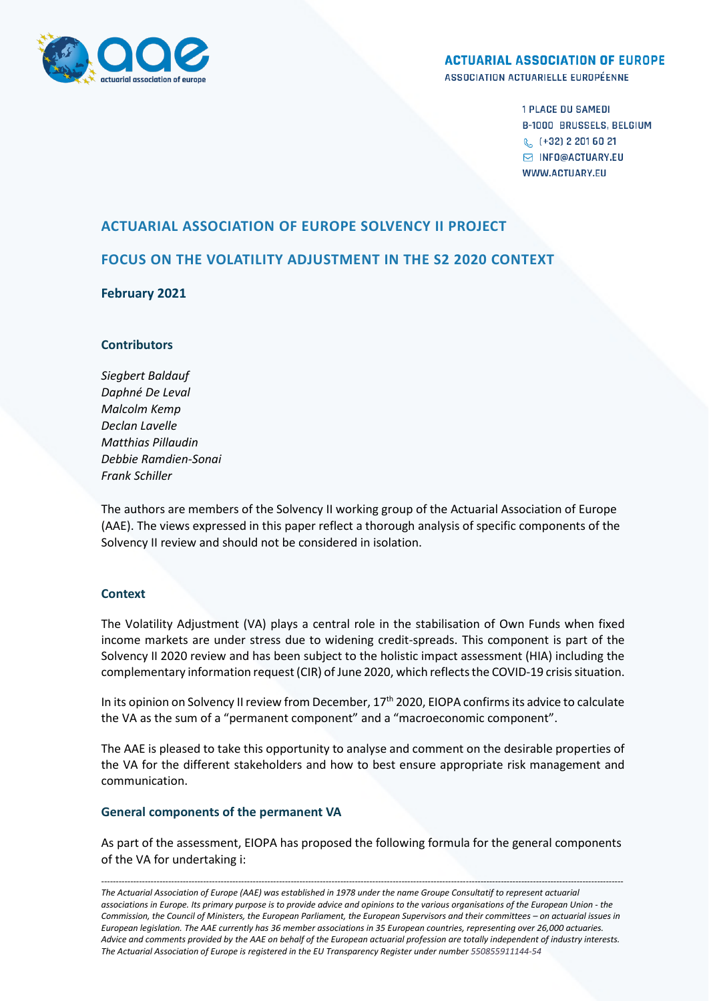

## **ACTUARIAL ASSOCIATION OF EUROPE**

ASSOCIATION ACTUARIELLE EUROPÉENNE

**1 PLACE DU SAMEDI B-1000 BRUSSELS, BELGIUM** & (+32) 2 201 60 21 **S INFO@ACTUARY.EU WWW.ACTUARY.FU** 

# **ACTUARIAL ASSOCIATION OF EUROPE SOLVENCY II PROJECT**

# **FOCUS ON THE VOLATILITY ADJUSTMENT IN THE S2 2020 CONTEXT**

# **February 2021**

## **Contributors**

*Siegbert Baldauf Daphné De Leval Malcolm Kemp Declan Lavelle Matthias Pillaudin Debbie Ramdien-Sonai Frank Schiller*

The authors are members of the Solvency II working group of the Actuarial Association of Europe (AAE). The views expressed in this paper reflect a thorough analysis of specific components of the Solvency II review and should not be considered in isolation.

## **Context**

The Volatility Adjustment (VA) plays a central role in the stabilisation of Own Funds when fixed income markets are under stress due to widening credit-spreads. This component is part of the Solvency II 2020 review and has been subject to the holistic impact assessment (HIA) including the complementary information request (CIR) of June 2020, which reflects the COVID-19 crisis situation.

In its opinion on Solvency II review from December, 17<sup>th</sup> 2020, EIOPA confirms its advice to calculate the VA as the sum of a "permanent component" and a "macroeconomic component".

The AAE is pleased to take this opportunity to analyse and comment on the desirable properties of the VA for the different stakeholders and how to best ensure appropriate risk management and communication.

# **General components of the permanent VA**

As part of the assessment, EIOPA has proposed the following formula for the general components of the VA for undertaking i:

*----------------------------------------------------------------------------------------------------------------------------------------------------------------------------------- The Actuarial Association of Europe (AAE) was established in 1978 under the name Groupe Consultatif to represent actuarial associations in Europe. Its primary purpose is to provide advice and opinions to the various organisations of the European Union - the Commission, the Council of Ministers, the European Parliament, the European Supervisors and their committees – on actuarial issues in European legislation. The AAE currently has 36 member associations in 35 European countries, representing over 26,000 actuaries. Advice and comments provided by the AAE on behalf of the European actuarial profession are totally independent of industry interests. The Actuarial Association of Europe is registered in the EU Transparency Register under number 550855911144-54*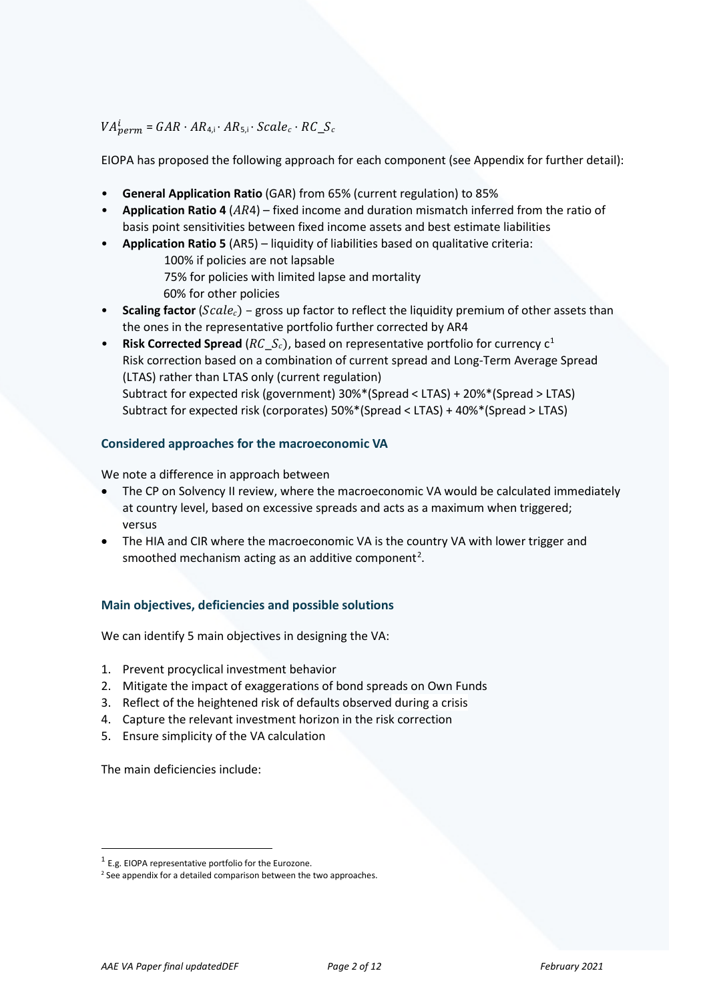$VA^{t}_{perm} = GAR \cdot AR_{4,i} \cdot AR_{5,i} \cdot Scale_c \cdot RC\_S$ 

EIOPA has proposed the following approach for each component (see Appendix for further detail):

- **General Application Ratio** (GAR) from 65% (current regulation) to 85%
- **Application Ratio 4** (AR4) fixed income and duration mismatch inferred from the ratio of basis point sensitivities between fixed income assets and best estimate liabilities
- **Application Ratio 5** (AR5) liquidity of liabilities based on qualitative criteria: 100% if policies are not lapsable 75% for policies with limited lapse and mortality 60% for other policies
- **Scaling factor** (*Scale<sub>c</sub>*) gross up factor to reflect the liquidity premium of other assets than the ones in the representative portfolio further corrected by AR4
- **Risk Corrected Spread** ( $RC$   $S_c$ ), based on representative portfolio for currency  $c^1$  $c^1$ Risk correction based on a combination of current spread and Long-Term Average Spread (LTAS) rather than LTAS only (current regulation) Subtract for expected risk (government) 30%\*(Spread < LTAS) + 20%\*(Spread > LTAS) Subtract for expected risk (corporates) 50%\*(Spread < LTAS) + 40%\*(Spread > LTAS)

## **Considered approaches for the macroeconomic VA**

We note a difference in approach between

- The CP on Solvency II review, where the macroeconomic VA would be calculated immediately at country level, based on excessive spreads and acts as a maximum when triggered; versus
- The HIA and CIR where the macroeconomic VA is the country VA with lower trigger and smoothed mechanism acting as an additive component<sup>[2](#page-1-1)</sup>.

## **Main objectives, deficiencies and possible solutions**

We can identify 5 main objectives in designing the VA:

- 1. Prevent procyclical investment behavior
- 2. Mitigate the impact of exaggerations of bond spreads on Own Funds
- 3. Reflect of the heightened risk of defaults observed during a crisis
- 4. Capture the relevant investment horizon in the risk correction
- 5. Ensure simplicity of the VA calculation

The main deficiencies include:

<span id="page-1-0"></span> $1$  E.g. EIOPA representative portfolio for the Eurozone.

<span id="page-1-1"></span><sup>&</sup>lt;sup>2</sup> See appendix for a detailed comparison between the two approaches.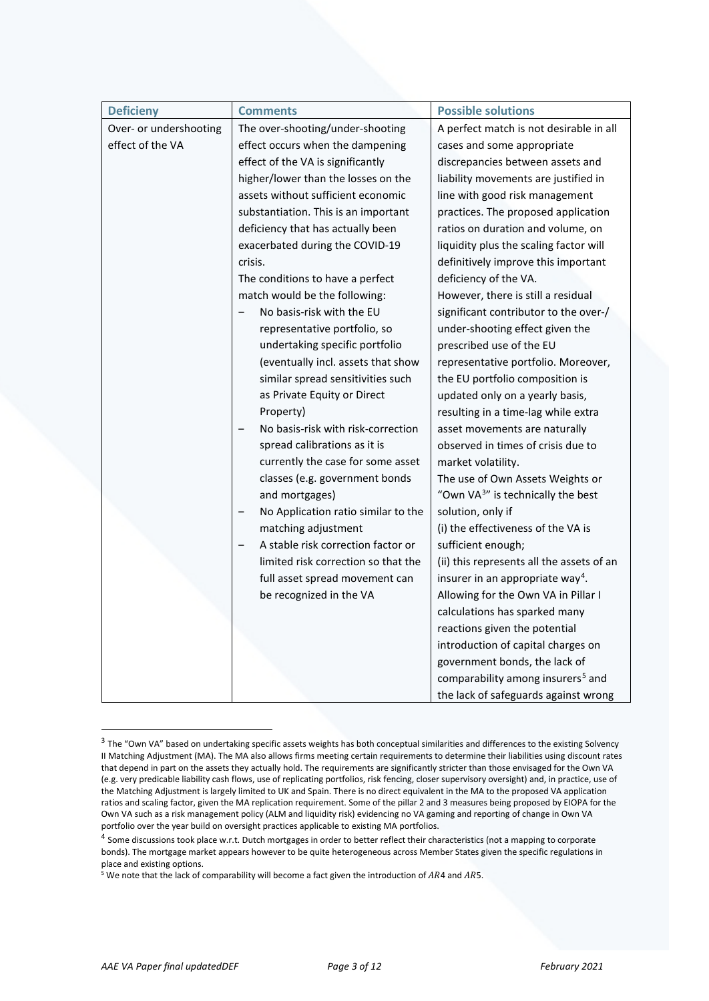| <b>Deficieny</b>       | <b>Comments</b>                                          | <b>Possible solutions</b>                     |  |
|------------------------|----------------------------------------------------------|-----------------------------------------------|--|
| Over- or undershooting | The over-shooting/under-shooting                         | A perfect match is not desirable in all       |  |
| effect of the VA       | effect occurs when the dampening                         | cases and some appropriate                    |  |
|                        | effect of the VA is significantly                        | discrepancies between assets and              |  |
|                        | higher/lower than the losses on the                      | liability movements are justified in          |  |
|                        | assets without sufficient economic                       | line with good risk management                |  |
|                        | substantiation. This is an important                     | practices. The proposed application           |  |
|                        | deficiency that has actually been                        | ratios on duration and volume, on             |  |
|                        | exacerbated during the COVID-19                          | liquidity plus the scaling factor will        |  |
|                        | crisis.                                                  | definitively improve this important           |  |
|                        | The conditions to have a perfect                         | deficiency of the VA.                         |  |
|                        | match would be the following:                            | However, there is still a residual            |  |
|                        | No basis-risk with the EU                                | significant contributor to the over-/         |  |
|                        | representative portfolio, so                             | under-shooting effect given the               |  |
|                        | undertaking specific portfolio                           | prescribed use of the EU                      |  |
|                        | (eventually incl. assets that show                       | representative portfolio. Moreover,           |  |
|                        | similar spread sensitivities such                        | the EU portfolio composition is               |  |
|                        | as Private Equity or Direct                              | updated only on a yearly basis,               |  |
|                        | Property)                                                | resulting in a time-lag while extra           |  |
|                        | No basis-risk with risk-correction                       | asset movements are naturally                 |  |
|                        | spread calibrations as it is                             | observed in times of crisis due to            |  |
|                        | currently the case for some asset                        | market volatility.                            |  |
|                        | classes (e.g. government bonds                           | The use of Own Assets Weights or              |  |
|                        | and mortgages)                                           | "Own VA <sup>3"</sup> is technically the best |  |
|                        | No Application ratio similar to the<br>$\qquad \qquad -$ | solution, only if                             |  |
|                        | matching adjustment                                      | (i) the effectiveness of the VA is            |  |
|                        | A stable risk correction factor or<br>$\qquad \qquad -$  | sufficient enough;                            |  |
|                        | limited risk correction so that the                      | (ii) this represents all the assets of an     |  |
|                        | full asset spread movement can                           | insurer in an appropriate way <sup>4</sup> .  |  |
|                        | be recognized in the VA                                  | Allowing for the Own VA in Pillar I           |  |
|                        |                                                          | calculations has sparked many                 |  |
|                        |                                                          | reactions given the potential                 |  |
|                        |                                                          | introduction of capital charges on            |  |
|                        |                                                          | government bonds, the lack of                 |  |
|                        |                                                          | comparability among insurers <sup>5</sup> and |  |
|                        |                                                          | the lack of safeguards against wrong          |  |

<span id="page-2-0"></span><sup>&</sup>lt;sup>3</sup> The "Own VA" based on undertaking specific assets weights has both conceptual similarities and differences to the existing Solvency II Matching Adjustment (MA). The MA also allows firms meeting certain requirements to determine their liabilities using discount rates that depend in part on the assets they actually hold. The requirements are significantly stricter than those envisaged for the Own VA (e.g. very predicable liability cash flows, use of replicating portfolios, risk fencing, closer supervisory oversight) and, in practice, use of the Matching Adjustment is largely limited to UK and Spain. There is no direct equivalent in the MA to the proposed VA application ratios and scaling factor, given the MA replication requirement. Some of the pillar 2 and 3 measures being proposed by EIOPA for the Own VA such as a risk management policy (ALM and liquidity risk) evidencing no VA gaming and reporting of change in Own VA portfolio over the year build on oversight practices applicable to existing MA portfolios.

<span id="page-2-1"></span> $4$  Some discussions took place w.r.t. Dutch mortgages in order to better reflect their characteristics (not a mapping to corporate bonds). The mortgage market appears however to be quite heterogeneous across Member States given the specific regulations in place and existing options.

<span id="page-2-2"></span> $5$  We note that the lack of comparability will become a fact given the introduction of AR4 and AR5.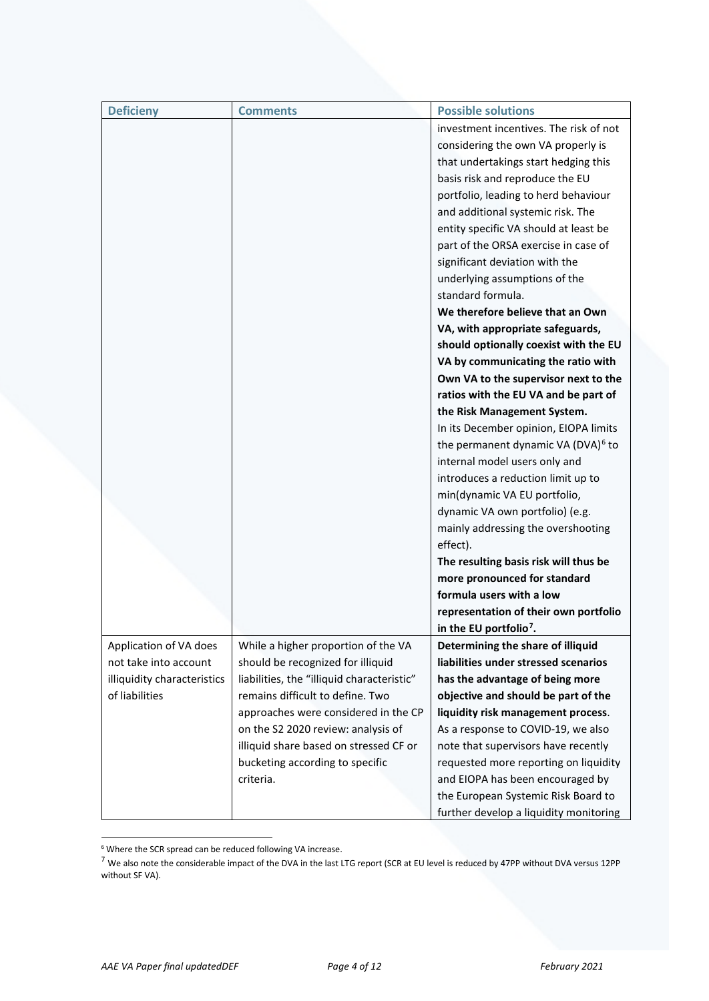| <b>Deficieny</b>            | <b>Comments</b>                            | <b>Possible solutions</b>                      |  |
|-----------------------------|--------------------------------------------|------------------------------------------------|--|
|                             |                                            | investment incentives. The risk of not         |  |
|                             |                                            | considering the own VA properly is             |  |
|                             |                                            | that undertakings start hedging this           |  |
|                             |                                            | basis risk and reproduce the EU                |  |
|                             |                                            | portfolio, leading to herd behaviour           |  |
|                             |                                            | and additional systemic risk. The              |  |
|                             |                                            | entity specific VA should at least be          |  |
|                             |                                            | part of the ORSA exercise in case of           |  |
|                             |                                            | significant deviation with the                 |  |
|                             |                                            | underlying assumptions of the                  |  |
|                             |                                            | standard formula.                              |  |
|                             |                                            | We therefore believe that an Own               |  |
|                             |                                            | VA, with appropriate safeguards,               |  |
|                             |                                            | should optionally coexist with the EU          |  |
|                             |                                            | VA by communicating the ratio with             |  |
|                             |                                            | Own VA to the supervisor next to the           |  |
|                             |                                            | ratios with the EU VA and be part of           |  |
|                             |                                            | the Risk Management System.                    |  |
|                             |                                            | In its December opinion, EIOPA limits          |  |
|                             |                                            | the permanent dynamic VA (DVA) <sup>6</sup> to |  |
|                             |                                            | internal model users only and                  |  |
|                             |                                            | introduces a reduction limit up to             |  |
|                             |                                            | min(dynamic VA EU portfolio,                   |  |
|                             |                                            | dynamic VA own portfolio) (e.g.                |  |
|                             |                                            | mainly addressing the overshooting             |  |
|                             |                                            | effect).                                       |  |
|                             |                                            | The resulting basis risk will thus be          |  |
|                             |                                            | more pronounced for standard                   |  |
|                             |                                            | formula users with a low                       |  |
|                             |                                            | representation of their own portfolio          |  |
|                             |                                            | in the EU portfolio <sup>7</sup> .             |  |
| Application of VA does      | While a higher proportion of the VA        | Determining the share of illiquid              |  |
| not take into account       | should be recognized for illiquid          | liabilities under stressed scenarios           |  |
| illiquidity characteristics | liabilities, the "illiquid characteristic" | has the advantage of being more                |  |
| of liabilities              | remains difficult to define. Two           | objective and should be part of the            |  |
|                             | approaches were considered in the CP       | liquidity risk management process.             |  |
|                             | on the S2 2020 review: analysis of         | As a response to COVID-19, we also             |  |
|                             | illiquid share based on stressed CF or     | note that supervisors have recently            |  |
|                             | bucketing according to specific            | requested more reporting on liquidity          |  |
|                             | criteria.                                  | and EIOPA has been encouraged by               |  |
|                             |                                            | the European Systemic Risk Board to            |  |
|                             |                                            | further develop a liquidity monitoring         |  |

<span id="page-3-0"></span><sup>6</sup> Where the SCR spread can be reduced following VA increase.

<span id="page-3-1"></span><sup>7</sup> We also note the considerable impact of the DVA in the last LTG report (SCR at EU level is reduced by 47PP without DVA versus 12PP without SF VA).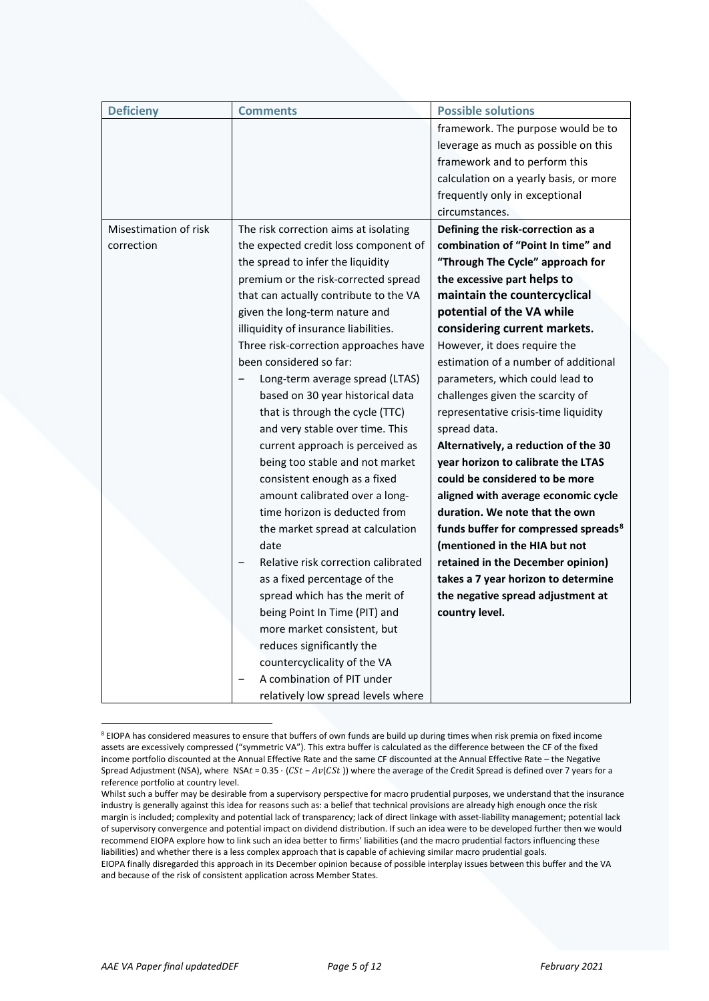| <b>Deficieny</b>      | <b>Comments</b>                        | <b>Possible solutions</b>                        |  |
|-----------------------|----------------------------------------|--------------------------------------------------|--|
|                       |                                        | framework. The purpose would be to               |  |
|                       |                                        | leverage as much as possible on this             |  |
|                       |                                        | framework and to perform this                    |  |
|                       |                                        | calculation on a yearly basis, or more           |  |
|                       |                                        | frequently only in exceptional                   |  |
|                       |                                        | circumstances.                                   |  |
| Misestimation of risk | The risk correction aims at isolating  | Defining the risk-correction as a                |  |
| correction            | the expected credit loss component of  | combination of "Point In time" and               |  |
|                       | the spread to infer the liquidity      | "Through The Cycle" approach for                 |  |
|                       | premium or the risk-corrected spread   | the excessive part helps to                      |  |
|                       | that can actually contribute to the VA | maintain the countercyclical                     |  |
|                       | given the long-term nature and         | potential of the VA while                        |  |
|                       | illiquidity of insurance liabilities.  | considering current markets.                     |  |
|                       | Three risk-correction approaches have  | However, it does require the                     |  |
|                       | been considered so far:                | estimation of a number of additional             |  |
|                       | Long-term average spread (LTAS)        | parameters, which could lead to                  |  |
|                       | based on 30 year historical data       | challenges given the scarcity of                 |  |
|                       | that is through the cycle (TTC)        | representative crisis-time liquidity             |  |
|                       | and very stable over time. This        | spread data.                                     |  |
|                       | current approach is perceived as       | Alternatively, a reduction of the 30             |  |
|                       | being too stable and not market        | year horizon to calibrate the LTAS               |  |
|                       | consistent enough as a fixed           | could be considered to be more                   |  |
|                       | amount calibrated over a long-         | aligned with average economic cycle              |  |
|                       | time horizon is deducted from          | duration. We note that the own                   |  |
|                       | the market spread at calculation       | funds buffer for compressed spreads <sup>8</sup> |  |
|                       | date                                   | (mentioned in the HIA but not                    |  |
|                       | Relative risk correction calibrated    | retained in the December opinion)                |  |
|                       | as a fixed percentage of the           | takes a 7 year horizon to determine              |  |
|                       | spread which has the merit of          | the negative spread adjustment at                |  |
|                       | being Point In Time (PIT) and          | country level.                                   |  |
|                       | more market consistent, but            |                                                  |  |
|                       | reduces significantly the              |                                                  |  |
|                       | countercyclicality of the VA           |                                                  |  |
|                       | A combination of PIT under             |                                                  |  |
|                       | relatively low spread levels where     |                                                  |  |

<span id="page-4-0"></span><sup>8</sup> EIOPA has considered measures to ensure that buffers of own funds are build up during times when risk premia on fixed income assets are excessively compressed ("symmetric VA"). This extra buffer is calculated as the difference between the CF of the fixed income portfolio discounted at the Annual Effective Rate and the same CF discounted at the Annual Effective Rate – the Negative Spread Adjustment (NSA), where NSAt =  $0.35 \cdot (CSt - Av(CSt))$  where the average of the Credit Spread is defined over 7 years for a reference portfolio at country level.

Whilst such a buffer may be desirable from a supervisory perspective for macro prudential purposes, we understand that the insurance industry is generally against this idea for reasons such as: a belief that technical provisions are already high enough once the risk margin is included; complexity and potential lack of transparency; lack of direct linkage with asset-liability management; potential lack of supervisory convergence and potential impact on dividend distribution. If such an idea were to be developed further then we would recommend EIOPA explore how to link such an idea better to firms' liabilities (and the macro prudential factors influencing these liabilities) and whether there is a less complex approach that is capable of achieving similar macro prudential goals.

EIOPA finally disregarded this approach in its December opinion because of possible interplay issues between this buffer and the VA and because of the risk of consistent application across Member States.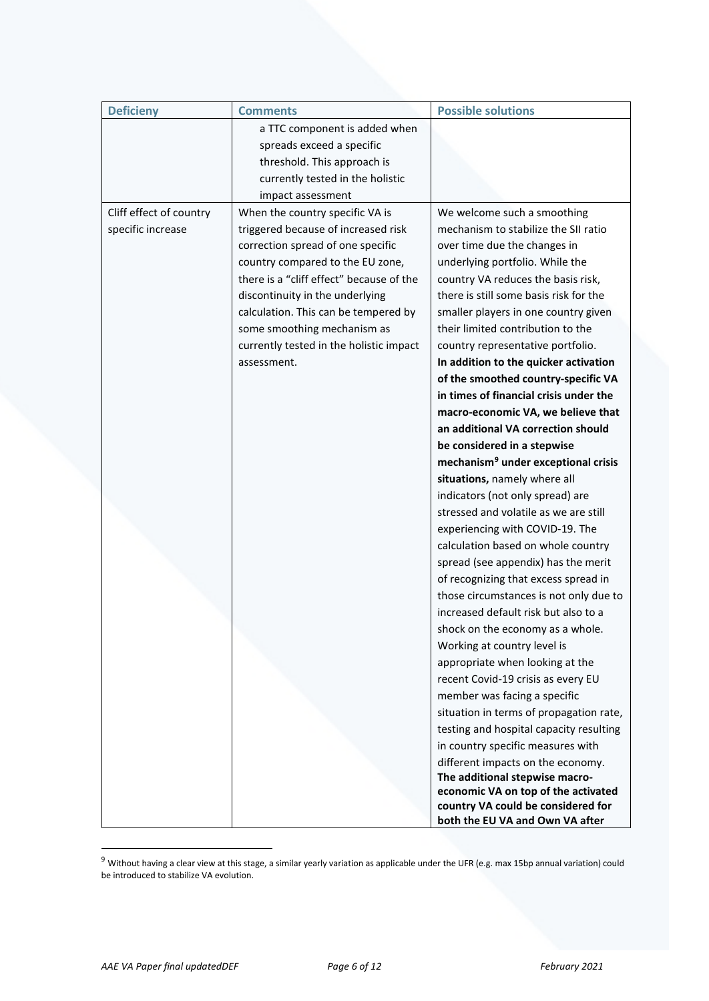| <b>Deficieny</b>        | <b>Comments</b>                                                                                                                                                                                                                                                                                                              | <b>Possible solutions</b>                                                                                                                                                                                                                                                                                                                                                                                                                                                                                                                                                                                                                                                                                                                                                                                                                                                                                                                                                                                                                                                                                                                                                                                                                                                                            |
|-------------------------|------------------------------------------------------------------------------------------------------------------------------------------------------------------------------------------------------------------------------------------------------------------------------------------------------------------------------|------------------------------------------------------------------------------------------------------------------------------------------------------------------------------------------------------------------------------------------------------------------------------------------------------------------------------------------------------------------------------------------------------------------------------------------------------------------------------------------------------------------------------------------------------------------------------------------------------------------------------------------------------------------------------------------------------------------------------------------------------------------------------------------------------------------------------------------------------------------------------------------------------------------------------------------------------------------------------------------------------------------------------------------------------------------------------------------------------------------------------------------------------------------------------------------------------------------------------------------------------------------------------------------------------|
|                         | a TTC component is added when<br>spreads exceed a specific<br>threshold. This approach is<br>currently tested in the holistic<br>impact assessment                                                                                                                                                                           |                                                                                                                                                                                                                                                                                                                                                                                                                                                                                                                                                                                                                                                                                                                                                                                                                                                                                                                                                                                                                                                                                                                                                                                                                                                                                                      |
| Cliff effect of country | When the country specific VA is                                                                                                                                                                                                                                                                                              | We welcome such a smoothing                                                                                                                                                                                                                                                                                                                                                                                                                                                                                                                                                                                                                                                                                                                                                                                                                                                                                                                                                                                                                                                                                                                                                                                                                                                                          |
| specific increase       | triggered because of increased risk<br>correction spread of one specific<br>country compared to the EU zone,<br>there is a "cliff effect" because of the<br>discontinuity in the underlying<br>calculation. This can be tempered by<br>some smoothing mechanism as<br>currently tested in the holistic impact<br>assessment. | mechanism to stabilize the SII ratio<br>over time due the changes in<br>underlying portfolio. While the<br>country VA reduces the basis risk,<br>there is still some basis risk for the<br>smaller players in one country given<br>their limited contribution to the<br>country representative portfolio.<br>In addition to the quicker activation<br>of the smoothed country-specific VA<br>in times of financial crisis under the<br>macro-economic VA, we believe that<br>an additional VA correction should<br>be considered in a stepwise<br>mechanism <sup>9</sup> under exceptional crisis<br>situations, namely where all<br>indicators (not only spread) are<br>stressed and volatile as we are still<br>experiencing with COVID-19. The<br>calculation based on whole country<br>spread (see appendix) has the merit<br>of recognizing that excess spread in<br>those circumstances is not only due to<br>increased default risk but also to a<br>shock on the economy as a whole.<br>Working at country level is<br>appropriate when looking at the<br>recent Covid-19 crisis as every EU<br>member was facing a specific<br>situation in terms of propagation rate,<br>testing and hospital capacity resulting<br>in country specific measures with<br>different impacts on the economy. |
|                         |                                                                                                                                                                                                                                                                                                                              | The additional stepwise macro-<br>economic VA on top of the activated                                                                                                                                                                                                                                                                                                                                                                                                                                                                                                                                                                                                                                                                                                                                                                                                                                                                                                                                                                                                                                                                                                                                                                                                                                |
|                         |                                                                                                                                                                                                                                                                                                                              | country VA could be considered for                                                                                                                                                                                                                                                                                                                                                                                                                                                                                                                                                                                                                                                                                                                                                                                                                                                                                                                                                                                                                                                                                                                                                                                                                                                                   |
|                         |                                                                                                                                                                                                                                                                                                                              | both the EU VA and Own VA after                                                                                                                                                                                                                                                                                                                                                                                                                                                                                                                                                                                                                                                                                                                                                                                                                                                                                                                                                                                                                                                                                                                                                                                                                                                                      |

<span id="page-5-0"></span> $9$  Without having a clear view at this stage, a similar yearly variation as applicable under the UFR (e.g. max 15bp annual variation) could be introduced to stabilize VA evolution.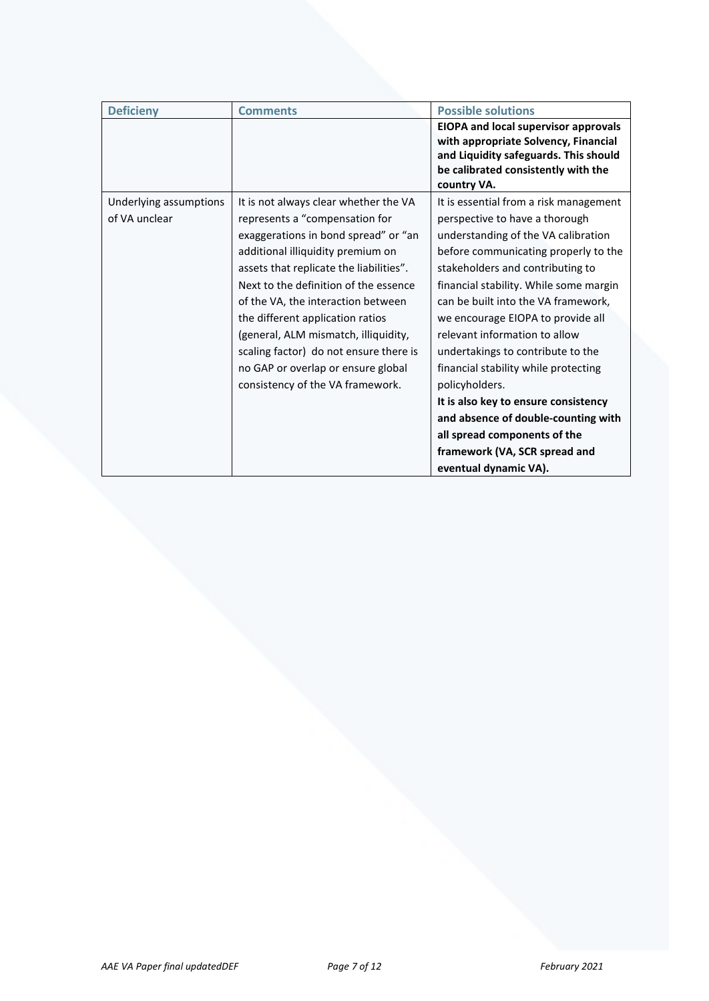| <b>Deficieny</b>                        | <b>Comments</b>                                                                                                                                                                                                                                                                                                                                                                                                                                                                | <b>Possible solutions</b>                                                                                                                                                                                                                                                                                                                                                                                                                                                                                                                                                                                                  |
|-----------------------------------------|--------------------------------------------------------------------------------------------------------------------------------------------------------------------------------------------------------------------------------------------------------------------------------------------------------------------------------------------------------------------------------------------------------------------------------------------------------------------------------|----------------------------------------------------------------------------------------------------------------------------------------------------------------------------------------------------------------------------------------------------------------------------------------------------------------------------------------------------------------------------------------------------------------------------------------------------------------------------------------------------------------------------------------------------------------------------------------------------------------------------|
|                                         |                                                                                                                                                                                                                                                                                                                                                                                                                                                                                | <b>EIOPA and local supervisor approvals</b><br>with appropriate Solvency, Financial<br>and Liquidity safeguards. This should<br>be calibrated consistently with the<br>country VA.                                                                                                                                                                                                                                                                                                                                                                                                                                         |
| Underlying assumptions<br>of VA unclear | It is not always clear whether the VA<br>represents a "compensation for<br>exaggerations in bond spread" or "an<br>additional illiquidity premium on<br>assets that replicate the liabilities".<br>Next to the definition of the essence<br>of the VA, the interaction between<br>the different application ratios<br>(general, ALM mismatch, illiquidity,<br>scaling factor) do not ensure there is<br>no GAP or overlap or ensure global<br>consistency of the VA framework. | It is essential from a risk management<br>perspective to have a thorough<br>understanding of the VA calibration<br>before communicating properly to the<br>stakeholders and contributing to<br>financial stability. While some margin<br>can be built into the VA framework,<br>we encourage EIOPA to provide all<br>relevant information to allow<br>undertakings to contribute to the<br>financial stability while protecting<br>policyholders.<br>It is also key to ensure consistency<br>and absence of double-counting with<br>all spread components of the<br>framework (VA, SCR spread and<br>eventual dynamic VA). |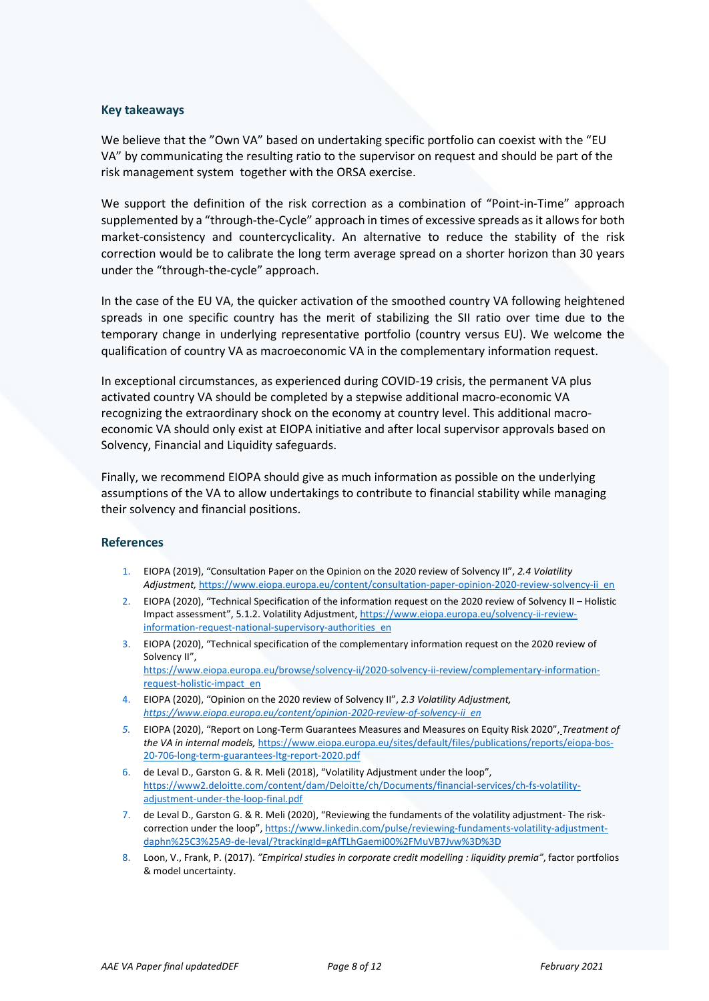#### **Key takeaways**

We believe that the "Own VA" based on undertaking specific portfolio can coexist with the "EU VA" by communicating the resulting ratio to the supervisor on request and should be part of the risk management system together with the ORSA exercise.

We support the definition of the risk correction as a combination of "Point-in-Time" approach supplemented by a "through-the-Cycle" approach in times of excessive spreads as it allows for both market-consistency and countercyclicality. An alternative to reduce the stability of the risk correction would be to calibrate the long term average spread on a shorter horizon than 30 years under the "through-the-cycle" approach.

In the case of the EU VA, the quicker activation of the smoothed country VA following heightened spreads in one specific country has the merit of stabilizing the SII ratio over time due to the temporary change in underlying representative portfolio (country versus EU). We welcome the qualification of country VA as macroeconomic VA in the complementary information request.

In exceptional circumstances, as experienced during COVID-19 crisis, the permanent VA plus activated country VA should be completed by a stepwise additional macro-economic VA recognizing the extraordinary shock on the economy at country level. This additional macroeconomic VA should only exist at EIOPA initiative and after local supervisor approvals based on Solvency, Financial and Liquidity safeguards.

Finally, we recommend EIOPA should give as much information as possible on the underlying assumptions of the VA to allow undertakings to contribute to financial stability while managing their solvency and financial positions.

#### **References**

- 1. EIOPA (2019), "Consultation Paper on the Opinion on the 2020 review of Solvency II", *2.4 Volatility Adjustment,* [https://www.eiopa.europa.eu/content/consultation-paper-opinion-2020-review-solvency-ii\\_en](https://www.eiopa.europa.eu/content/consultation-paper-opinion-2020-review-solvency-ii_en)
- 2. EIOPA (2020), "Technical Specification of the information request on the 2020 review of Solvency II Holistic Impact assessment", 5.1.2. Volatility Adjustment[, https://www.eiopa.europa.eu/solvency-ii-review](https://www.eiopa.europa.eu/solvency-ii-review-information-request-national-supervisory-authorities_en)[information-request-national-supervisory-authorities\\_en](https://www.eiopa.europa.eu/solvency-ii-review-information-request-national-supervisory-authorities_en)
- 3. EIOPA (2020), "Technical specification of the complementary information request on the 2020 review of Solvency II", [https://www.eiopa.europa.eu/browse/solvency-ii/2020-solvency-ii-review/complementary-information](https://www.eiopa.europa.eu/browse/solvency-ii/2020-solvency-ii-review/complementary-information-request-holistic-impact_en)[request-holistic-impact\\_en](https://www.eiopa.europa.eu/browse/solvency-ii/2020-solvency-ii-review/complementary-information-request-holistic-impact_en)
- 4. EIOPA (2020), "Opinion on the 2020 review of Solvency II", *2.3 Volatility Adjustment, [https://www.eiopa.europa.eu/content/opinion-2020-review-of-solvency-ii\\_en](https://www.eiopa.europa.eu/content/opinion-2020-review-of-solvency-ii_en)*
- *5.* EIOPA (2020), "Report on Long-Term Guarantees Measures and Measures on Equity Risk 2020", *Treatment of the VA in internal models,* https://www.eiopa.europa.eu/sites/default/files/publications/reports/eiopa-bos-20-706-long-term-guarantees-ltg-report-2020.pdf
- 6. de Leval D., Garston G. & R. Meli (2018), "Volatility Adjustment under the loop", https://www2.deloitte.com/content/dam/Deloitte/ch/Documents/financial-services/ch-fs-volatilityadjustment-under-the-loop-final.pdf
- 7. de Leval D., Garston G. & R. Meli (2020), "Reviewing the fundaments of the volatility adjustment- The riskcorrection under the loop", [https://www.linkedin.com/pulse/reviewing-fundaments-volatility-adjustment](https://www.linkedin.com/pulse/reviewing-fundaments-volatility-adjustment-daphn%25C3%25A9-de-leval/?trackingId=gAfTLhGaemi00%2FMuVB7Jvw%3D%3D)[daphn%25C3%25A9-de-leval/?trackingId=gAfTLhGaemi00%2FMuVB7Jvw%3D%3D](https://www.linkedin.com/pulse/reviewing-fundaments-volatility-adjustment-daphn%25C3%25A9-de-leval/?trackingId=gAfTLhGaemi00%2FMuVB7Jvw%3D%3D)
- 8. Loon, V., Frank, P. (2017). *"Empirical studies in corporate credit modelling : liquidity premia"*, factor portfolios & model uncertainty.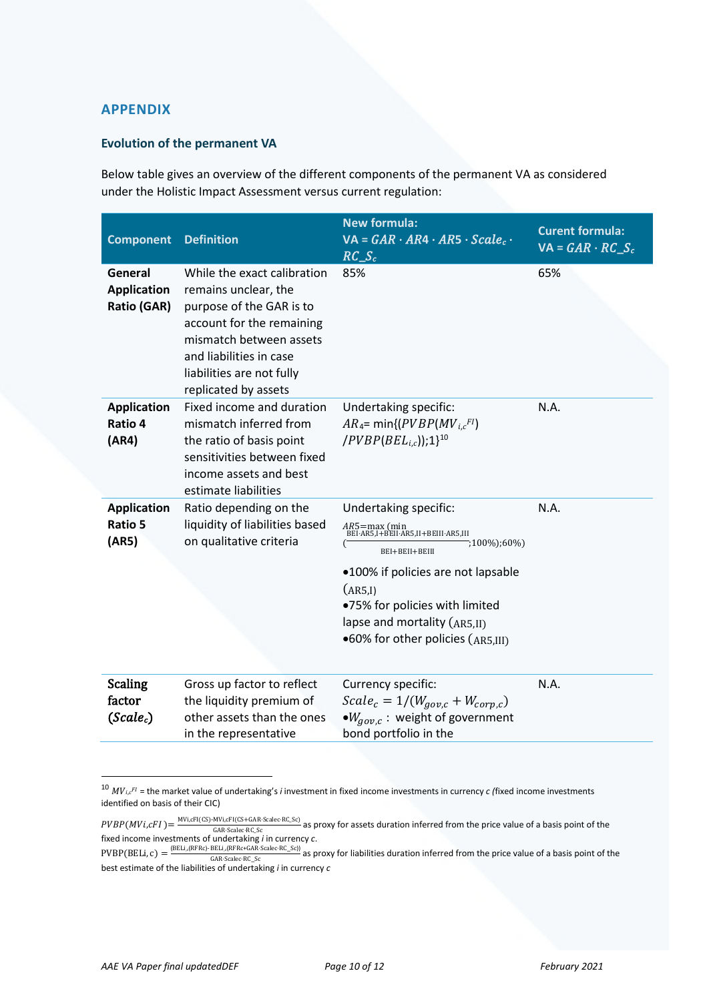# **APPENDIX**

## **Evolution of the permanent VA**

Below table gives an overview of the different components of the permanent VA as considered under the Holistic Impact Assessment versus current regulation:

| <b>Component</b>                                    | <b>Definition</b>                                                                                                                                                                                                       | <b>New formula:</b><br>$VA = GAR \cdot AR4 \cdot AR5 \cdot Scale_c \cdot$<br>$RC S_c$                                                                                                                                                                                 | <b>Curent formula:</b><br>$VA = GAR \cdot RC \cdot S_c$ |
|-----------------------------------------------------|-------------------------------------------------------------------------------------------------------------------------------------------------------------------------------------------------------------------------|-----------------------------------------------------------------------------------------------------------------------------------------------------------------------------------------------------------------------------------------------------------------------|---------------------------------------------------------|
| General<br><b>Application</b><br><b>Ratio (GAR)</b> | While the exact calibration<br>remains unclear, the<br>purpose of the GAR is to<br>account for the remaining<br>mismatch between assets<br>and liabilities in case<br>liabilities are not fully<br>replicated by assets | 85%                                                                                                                                                                                                                                                                   | 65%                                                     |
| <b>Application</b><br>Ratio 4<br>(AR4)              | Fixed income and duration<br>mismatch inferred from<br>the ratio of basis point<br>sensitivities between fixed<br>income assets and best<br>estimate liabilities                                                        | Undertaking specific:<br>$AR_4$ = min{( $PVBP(MV_{i,c}F)$<br>$(PVBP(BELi,c));1$ <sup>10</sup>                                                                                                                                                                         | N.A.                                                    |
| <b>Application</b><br>Ratio 5<br>(AR5)              | Ratio depending on the<br>liquidity of liabilities based<br>on qualitative criteria                                                                                                                                     | Undertaking specific:<br>AR5=max (min<br>BEI·AR5,I+BEII·AR5,II+BEIII·AR5,III<br>;100%);60%)<br>BEI+BEII+BEIII<br>•100% if policies are not lapsable<br>(AR5,I)<br>.75% for policies with limited<br>lapse and mortality (AR5,II)<br>.60% for other policies (AR5,III) | N.A.                                                    |
| <b>Scaling</b><br>factor<br>(Scale <sub>c</sub> )   | Gross up factor to reflect<br>the liquidity premium of<br>other assets than the ones<br>in the representative                                                                                                           | Currency specific:<br>$Scale_c = 1/(W_{gov,c} + W_{corp,c})$<br>$\bullet W_{aov.c}$ : weight of government<br>bond portfolio in the                                                                                                                                   | N.A.                                                    |

<span id="page-9-0"></span><sup>&</sup>lt;sup>10</sup>  $MV_{i,c}$ <sup>FI</sup> = the market value of undertaking's *i* investment in fixed income investments in currency *c* (fixed income investments identified on basis of their CIC)

 $PVBP(MVi, cFI) = \frac{MVi, cFI(CS)-MVi, cFI(CS+GAR\cdot Scalec\cdot RC\_Sc)}{GAR\cdot Scalec\cdot RC\cdot Sc}$  as proxy for assets duration inferred from the price value of a basis point of the PVBP(MVi,cFI) =  $\frac{M_{\text{V,CP}}}{G\text{AR-Scale-RC\_SC}}$  as proxy for assets duration inferred from the price value of a basis point of the fixed income investments of undertaking *i* in currency *c*.

 $PVBP(BELi, c) = \frac{(BELi_A(RFRC) - BELi_A(RFRC+GAR \cdot Scale \cdot RC\_Sc)}{GAR \cdot Scale \cdot RC\_Sc}$  as proxy for liabilities duration inferred from the price value of a basis point of the best estimate of the liabilities of undertaking *i* in currency *c*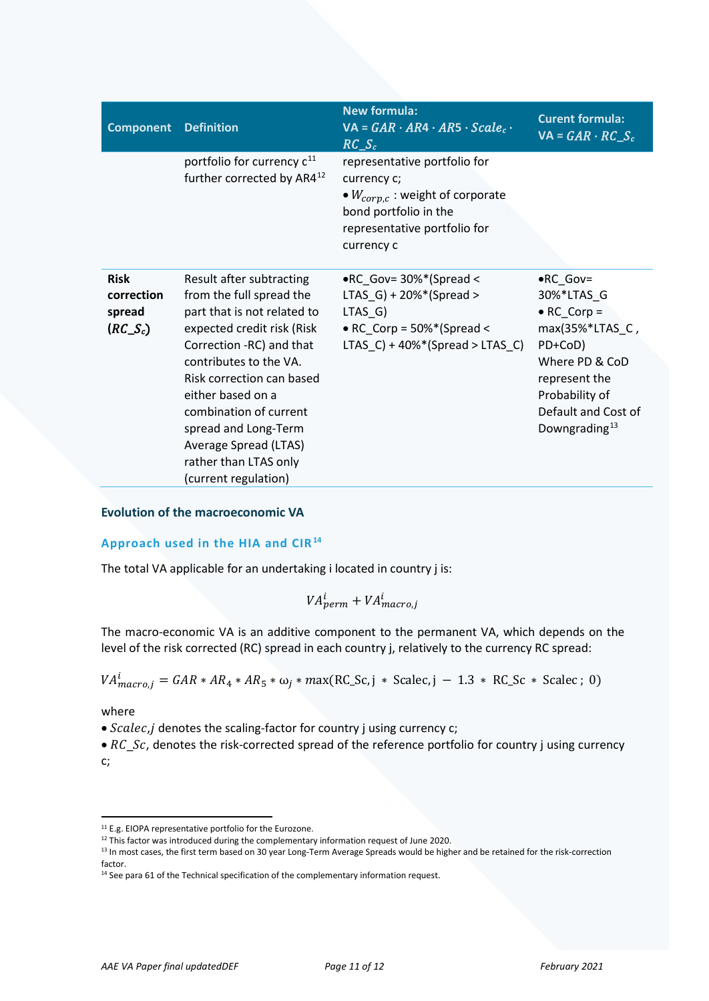| <b>Component</b>                                 | <b>Definition</b>                                                                                                                                                                                                                                                                                                                                     | <b>New formula:</b><br>$VA = GAR \cdot AR4 \cdot AR5 \cdot Scale_c \cdot$<br>$RC\_S_c$                                                                                                 | <b>Curent formula:</b><br>$VA = GAR \cdot RC_S_c$                                                                                                                                             |
|--------------------------------------------------|-------------------------------------------------------------------------------------------------------------------------------------------------------------------------------------------------------------------------------------------------------------------------------------------------------------------------------------------------------|----------------------------------------------------------------------------------------------------------------------------------------------------------------------------------------|-----------------------------------------------------------------------------------------------------------------------------------------------------------------------------------------------|
|                                                  | portfolio for currency c <sup>11</sup><br>further corrected by AR4 <sup>12</sup>                                                                                                                                                                                                                                                                      | representative portfolio for<br>currency c;<br>• $W_{\text{corr},c}$ : weight of corporate<br>bond portfolio in the<br>representative portfolio for<br>currency c                      |                                                                                                                                                                                               |
| <b>Risk</b><br>correction<br>spread<br>$(RC_Sc)$ | Result after subtracting<br>from the full spread the<br>part that is not related to<br>expected credit risk (Risk<br>Correction -RC) and that<br>contributes to the VA.<br>Risk correction can based<br>either based on a<br>combination of current<br>spread and Long-Term<br>Average Spread (LTAS)<br>rather than LTAS only<br>(current regulation) | $\bullet$ RC_Gov= 30%*(Spread <<br>LTAS_G) + $20\%$ <sup>*</sup> (Spread ><br>$LTAS_G$<br>• RC_Corp = $50\%$ <sup>*</sup> (Spread <<br>LTAS_C) + $40\%$ <sup>*</sup> (Spread > LTAS_C) | $\bullet$ RC_Gov=<br>30%*LTAS_G<br>$\bullet$ RC_Corp =<br>max(35%*LTAS_C,<br>PD+CoD)<br>Where PD & CoD<br>represent the<br>Probability of<br>Default and Cost of<br>Downgrading <sup>13</sup> |

**Evolution of the macroeconomic VA**

## **Approach used in the HIA and CIR[14](#page-10-3)**

The total VA applicable for an undertaking i located in country j is:

 $VA^{i}_{perm} + VA^{i}_{macro,j}$ 

The macro-economic VA is an additive component to the permanent VA, which depends on the level of the risk corrected (RC) spread in each country j, relatively to the currency RC spread:

$$
VA_{macro,j}^i = GAR * AR_4 * AR_5 * \omega_j * max(RC_Sc, j * Scalec, j - 1.3 * RC_Sc * Scalec; 0)
$$

where

• Scalec,j denotes the scaling-factor for country j using currency c;

•  $RC\_Sc$ , denotes the risk-corrected spread of the reference portfolio for country j using currency c;

<span id="page-10-0"></span><sup>11</sup> E.g. EIOPA representative portfolio for the Eurozone.

<span id="page-10-2"></span><span id="page-10-1"></span><sup>&</sup>lt;sup>12</sup> This factor was introduced during the complementary information request of June 2020.

<sup>&</sup>lt;sup>13</sup> In most cases, the first term based on 30 year Long-Term Average Spreads would be higher and be retained for the risk-correction factor.

<span id="page-10-3"></span><sup>14</sup> See para 61 of the Technical specification of the complementary information request.